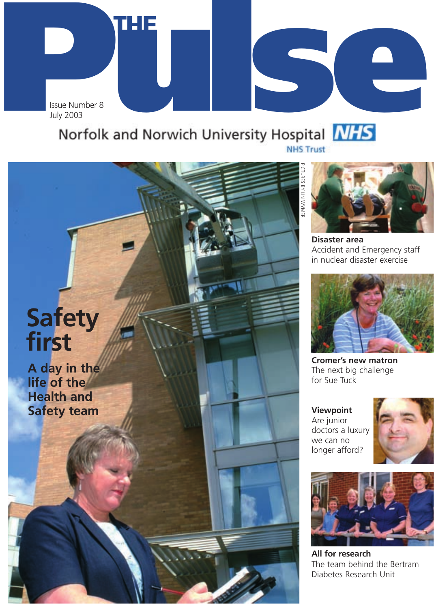July 2003

**THE**

## **Puly 2003**<br> **Puly 2003**<br> **Pulse Pulse Pulse Pulse Pulse Pulse Pulse Pulse Pulse Pulse Pulse Pulse Pulse Pulse Pulse Pulse Pulse Pulse Pulse Pulse Pulse Pulse Pulse Pulse Pul**



PICTURES BY LIN WYMERRES BY LIN WYNER

> **Disaster area** Accident and Emergency staff in nuclear disaster exercise



**Cromer's new matron** The next big challenge for Sue Tuck

**Viewpoint**  Are junior doctors a luxury we can no longer afford?





**All for research** The team behind the Bertram Diabetes Research Unit

## **Safety first**

**A day in the life of the Health and Safety team**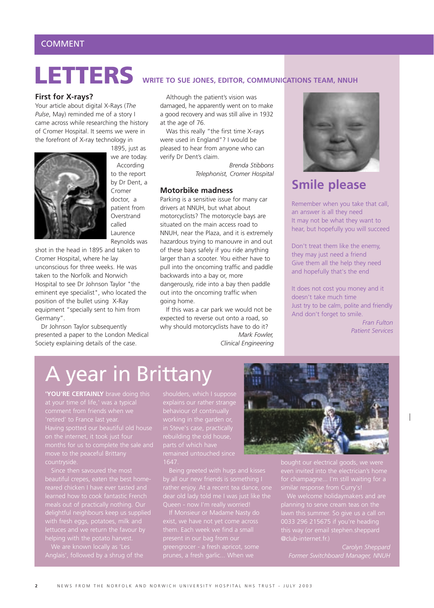#### **First for X-rays?**

Your article about digital X-Rays (*The Pulse*, May) reminded me of a story I came across while researching the history of Cromer Hospital. It seems we were in the forefront of X-ray technology in



1895, just as we are today. According to the report by Dr Dent, a Cromer doctor, a patient from **Overstrand** called Laurence Reynolds was

shot in the head in 1895 and taken to Cromer Hospital, where he lay unconscious for three weeks. He was taken to the Norfolk and Norwich Hospital to see Dr Johnson Taylor "the eminent eye specialist", who located the position of the bullet using X-Ray equipment "specially sent to him from Germany".

Dr Johnson Taylor subsequently presented a paper to the London Medical Society explaining details of the case.

## **LETTERS WRITE TO SUE JONES, EDITOR, COMMUNICATIONS TEAM, NNUH**

Although the patient's vision was damaged, he apparently went on to make a good recovery and was still alive in 1932 at the age of 76.

Was this really "the first time X-rays were used in England"? I would be pleased to hear from anyone who can verify Dr Dent's claim.

> *Brenda Stibbons Telephonist, Cromer Hospital*

#### **Motorbike madness**

Parking is a sensitive issue for many car drivers at NNUH, but what about motorcyclists? The motorcycle bays are situated on the main access road to NNUH, near the Plaza, and it is extremely hazardous trying to manouvre in and out of these bays safely if you ride anything larger than a scooter. You either have to pull into the oncoming traffic and paddle backwards into a bay or, more dangerously, ride into a bay then paddle out into the oncoming traffic when going home.

If this was a car park we would not be expected to reverse out onto a road, so why should motorcyclists have to do it?

*Mark Fowler, Clinical Engineering*



## **Smile please**

Remember when you take that call, an answer is all they need It may not be what they want to hear, but hopefully you will succeed

Don't treat them like the enemy, they may just need a friend Give them all the help they need and hopefully that's the end

It does not cost you money and it doesn't take much time Just try to be calm, polite and friendly And don't forget to smile.

> *Fran Fulton Patient Services*

## A year in Brittany

**'YOU'RE CERTAINLY** brave doing this

Since then savoured the most meals out of practically nothing. Our with fresh eggs, potatoes, milk and lettuces and we return the favour by helping with the potato harvest.

rebuilding the old house, parts of which have remained untouched since 1647.

If Monsieur or Madame Nasty do them. Each week we find a small



planning to serve cream teas on the 0033 296 215675 if you're heading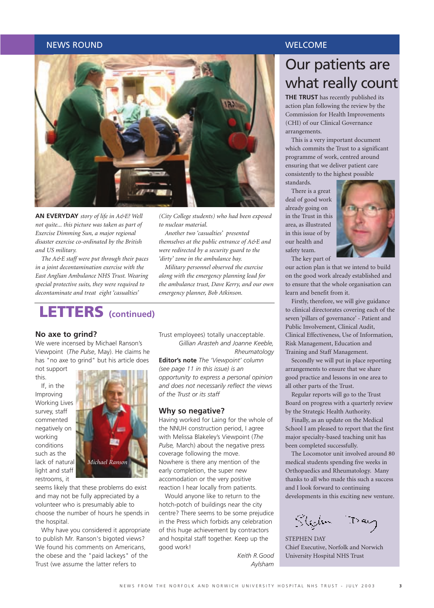#### NEWS ROUND WELCOME AND A SERVICE SERVICE SERVICE SERVICE SERVICE SERVICE SERVICE SERVICE SERVICE SERVICE SERVICE



**AN EVERYDAY** *story of life in A&E? Well not quite... this picture was taken as part of Exercise Dimming Sun, a major regional disaster exercise co-ordinated by the British and US military.*

*The A&E staff were put through their paces in a joint decontamination exercise with the East Anglian Ambulance NHS Trust. Wearing special protective suits, they were required to decontaminate and treat eight 'casualties'*

## **LETTERS (continued)**

#### **No axe to grind?**

We were incensed by Michael Ranson's Viewpoint (*The Pulse*, May). He claims he has "no axe to grind" but his article does

not support this.

If, in the Improving Working Lives survey, staff commented negatively on working conditions such as the lack of natural light and staff restrooms, it



seems likely that these problems do exist and may not be fully appreciated by a volunteer who is presumably able to choose the number of hours he spends in the hospital.

Why have you considered it appropriate to publish Mr. Ranson's bigoted views? We found his comments on Americans. the obese and the "paid lackeys" of the Trust (we assume the latter refers to

*Another two 'casualties' presented themselves at the public entrance of A&E and*

*to nuclear material.*

*were redirected by a security guard to the 'dirty' zone in the ambulance bay.*

*Military personnel observed the exercise along with the emergency planning lead for the ambulance trust, Dave Kerry, and our own emergency planner, Bob Atkinson.*

Trust employees) totally unacceptable. *Gillian Arasteh and Joanne Keeble, Rheumatology* 

**Editor's note** *The 'Viewpoint' column (see page 11 in this issue) is an opportunity to express a personal opinion and does not necessarily reflect the views of the Trust or its staff*

#### **Why so negative?**

Having worked for Laing for the whole of the NNUH construction period, I agree with Melissa Blakeley's Viewpoint (*The Pulse,* March) about the negative press coverage following the move. Nowhere is there any mention of the early completion, the super new accomodation or the very positive reaction I hear locally from patients.

Would anyone like to return to the hotch-potch of buildings near the city centre? There seems to be some prejudice in the Press which forbids any celebration of this huge achievement by contractors and hospital staff together. Keep up the good work!

> *Keith R.Good Aylsham*

## Our patients are what really count

**THE TRUST** has recently published its action plan following the review by the Commission for Health Improvements (CHI) of our Clinical Governance arrangements.

This is a very important document which commits the Trust to a significant programme of work, centred around ensuring that we deliver patient care consistently to the highest possible standards.

There is a great deal of good work already going on in the Trust in this area, as illustrated in this issue of by our health and safety team. The key part of



our action plan is that we intend to build on the good work already established and to ensure that the whole organisation can learn and benefit from it.

Firstly, therefore, we will give guidance to clinical directorates covering each of the seven 'pillars of governance' - Patient and Public Involvement, Clinical Audit, Clinical Effectiveness, Use of Information, Risk Management, Education and Training and Staff Management.

Secondly we will put in place reporting arrangements to ensure that we share good practice and lessons in one area to all other parts of the Trust.

Regular reports will go to the Trust Board on progress with a quarterly review by the Strategic Health Authority.

Finally, as an update on the Medical School I am pleased to report that the first major specialty-based teaching unit has been completed successfully.

The Locomotor unit involved around 80 medical students spending five weeks in Orthopaedics and Rheumatology. Many thanks to all who made this such a success and I look forward to continuing developments in this exciting new venture.

Stehn Day

STEPHEN DAY Chief Executive, Norfolk and Norwich University Hospital NHS Trust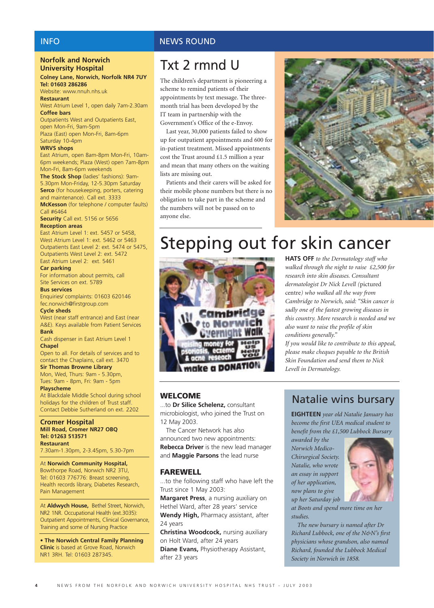#### **Norfolk and Norwich University Hospital**

#### **Colney Lane, Norwich, Norfolk NR4 7UY Tel: 01603 286286**

Website: www.nnuh.nhs.uk **Restaurant** 

West Atrium Level 1, open daily 7am-2.30am **Coffee bars** 

Outpatients West and Outpatients East, open Mon-Fri, 9am-5pm Plaza (East) open Mon-Fri, 8am-6pm Saturday 10-4pm

#### **WRVS shops**

East Atrium, open 8am-8pm Mon-Fri, 10am-6pm weekends; Plaza (West) open 7am-8pm Mon-Fri, 8am-6pm weekends

**The Stock Shop** (ladies' fashions): 9am-5.30pm Mon-Friday, 12-5.30pm Saturday **Serco** (for housekeeping, porters, catering and maintenance). Call ext. 3333 **McKesson** (for telephone / computer faults)

Call #6464 **Security** Call ext. 5156 or 5656

#### **Reception areas**

East Atrium Level 1: ext. 5457 or 5458, West Atrium Level 1: ext. 5462 or 5463 Outpatients East Level 2: ext. 5474 or 5475, Outpatients West Level 2: ext. 5472 East Atrium Level 2: ext. 5461

#### **Car parking**

For information about permits, call Site Services on ext. 5789

#### **Bus services**

Enquiries/ complaints: 01603 620146 fec.norwich@firstgroup.com

#### **Cycle sheds**

West (near staff entrance) and East (near A&E). Keys available from Patient Services **Bank** 

Cash dispenser in East Atrium Level 1 **Chapel**

Open to all. For details of services and to contact the Chaplains, call ext. 3470

**Sir Thomas Browne Library**  Mon, Wed, Thurs: 9am - 5.30pm, Tues: 9am - 8pm, Fri: 9am - 5pm

#### **Playscheme**

At Blackdale Middle School during school holidays for the children of Trust staff. Contact Debbie Sutherland on ext. 2202

#### **Cromer Hospital Mill Road, Cromer NR27 OBQ Tel: 01263 513571 Restaurant**

7.30am-1.30pm, 2-3.45pm, 5.30-7pm

At **Norwich Community Hospital,** Bowthorpe Road, Norwich NR2 3TU, Tel: 01603 776776: Breast screening, Health records library, Diabetes Research, Pain Management

At **Aldwych House,** Bethel Street, Norwich, NR2 1NR. Occupational Health (ext.3035): Outpatient Appointments, Clinical Governance, Training and some of Nursing Practice

• **The Norwich Central Family Planning Clinic** is based at Grove Road, Norwich NR1 3RH. Tel: 01603 287345.

#### INFO NEWS ROUND

## Txt 2 rmnd U

The children's department is pioneering a scheme to remind patients of their appointments by text message. The threemonth trial has been developed by the IT team in partnership with the Government's Office of the e-Envoy.

Last year, 30,000 patients failed to show up for outpatient appointments and 600 for in-patient treatment. Missed appointments cost the Trust around £1.5 million a year and mean that many others on the waiting lists are missing out.

Patients and their carers will be asked for their mobile phone numbers but there is no obligation to take part in the scheme and the numbers will not be passed on to anyone else.



## Stepping out for skin cancer



**HATS OFF** *to the Dermatology staff who walked through the night to raise £2,500 for research into skin diseases. Consultant dermatologist Dr Nick Levell (*pictured centre*) who walked all the way from Cambridge to Norwich, said: "Skin cancer is sadly one of the fastest growing diseases in this country. More research is needed and we also want to raise the profile of skin conditions generally."*

*If you would like to contribute to this appeal, please make cheques payable to the British Skin Foundation and send them to Nick Levell in Dermatology.*

#### **WELCOME**

...to **Dr Silice Schelenz,** consultant microbiologist, who joined the Trust on 12 May 2003.

The Cancer Network has also announced two new appointments: **Rebecca Driver** is the new lead manager and **Maggie Parsons** the lead nurse

#### **FAREWELL**

...to the following staff who have left the Trust since 1 May 2003:

**Margaret Press**, a nursing auxiliary on Hethel Ward, after 28 years' service **Wendy High,** Pharmacy assistant, after 24 years

**Christina Woodcock,** nursing auxiliary on Holt Ward, after 24 years **Diane Evans,** Physiotherapy Assistant, after 23 years

#### Natalie wins bursary

**EIGHTEEN** *year old Natalie January has become the first UEA medical student to benefit from the £1,500 Lubbock Bursary*

*awarded by the Norwich Medico-Chirurgical Society. Natalie, who wrote an essay in support of her application, now plans to give up her Saturday job*



*at Boots and spend more time on her studies.*

*The new bursary is named after Dr Richard Lubbock, one of the N&N's first physicians whose grandson, also named Richard, founded the Lubbock Medical Society in Norwich in 1858.*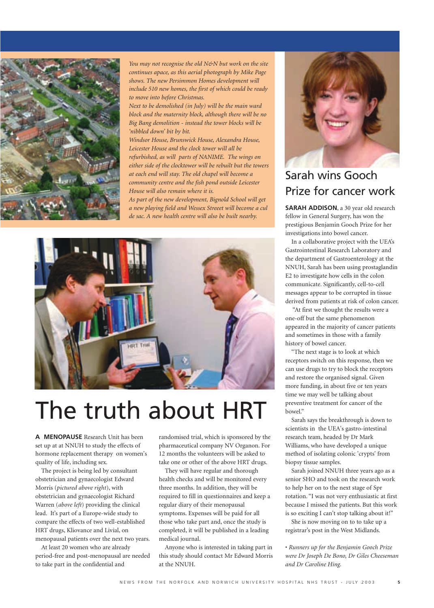

*You may not recognise the old N&N but work on the site continues apace, as this aerial photograph by Mike Page shows. The new Persimmon Homes development will include 510 new homes, the first of which could be ready to move into before Christmas.*

*Next to be demolished (in July) will be the main ward block and the maternity block, although there will be no Big Bang demolition - instead the tower blocks will be 'nibbled down' bit by bit.*

*Windsor House, Brunswick House, Alexandra House, Leicester House and the clock tower will all be refurbished, as will parts of NANIME. The wings on either side of the clocktower will be rebuilt but the towers at each end will stay. The old chapel will become a community centre and the fish pond outside Leicester House will also remain where it is.*

*As part of the new development, Bignold School will get a new playing field and Wessex Streeet will become a cul de sac. A new health centre will also be built nearby.*



## The truth about HRT

**A MENOPAUSE** Research Unit has been set up at at NNUH to study the effects of hormone replacement therapy on women's quality of life, including sex.

The project is being led by consultant obstetrician and gynaecologist Edward Morris (*pictured above right*), with obstetrician and gynaecologist Richard Warren (*above left*) providing the clinical lead. It's part of a Europe-wide study to compare the effects of two well-established HRT drugs, Kliovance and Livial, on menopausal patients over the next two years.

At least 20 women who are already period-free and post-menopausal are needed to take part in the confidential and

randomised trial, which is sponsored by the pharmaceutical company NV Organon. For 12 months the volunteers will be asked to take one or other of the above HRT drugs.

They will have regular and thorough health checks and will be monitored every three months. In addition, they will be required to fill in questionnaires and keep a regular diary of their menopausal symptoms. Expenses will be paid for all those who take part and, once the study is completed, it will be published in a leading medical journal.

Anyone who is interested in taking part in this study should contact Mr Edward Morris at the NNUH.



### Sarah wins Gooch Prize for cancer work

**SARAH ADDISON**, a 30 year old research fellow in General Surgery, has won the prestigious Benjamin Gooch Prize for her investigations into bowel cancer.

In a collaborative project with the UEA's Gastrointestinal Research Laboratory and the department of Gastroenterology at the NNUH, Sarah has been using prostaglandin E2 to investigate how cells in the colon communicate. Significantly, cell-to-cell messages appear to be corrupted in tissue derived from patients at risk of colon cancer.

"At first we thought the results were a one-off but the same phenomenon appeared in the majority of cancer patients and sometimes in those with a family history of bowel cancer.

"The next stage is to look at which receptors switch on this response, then we can use drugs to try to block the receptors and restore the organised signal. Given more funding, in about five or ten years time we may well be talking about preventive treatment for cancer of the bowel."

Sarah says the breakthrough is down to scientists in the UEA's gastro-intestinal research team, headed by Dr Mark Williams, who have developed a unique method of isolating colonic 'crypts' from biopsy tissue samples.

Sarah joined NNUH three years ago as a senior SHO and took on the research work to help her on to the next stage of Spr rotation. "I was not very enthusiastic at first because I missed the patients. But this work is so exciting I can't stop talking about it!"

She is now moving on to to take up a registrar's post in the West Midlands.

• *Runners up for the Benjamin Gooch Prize were Dr Joseph De Bono, Dr Giles Cheeseman and Dr Caroline Hing.*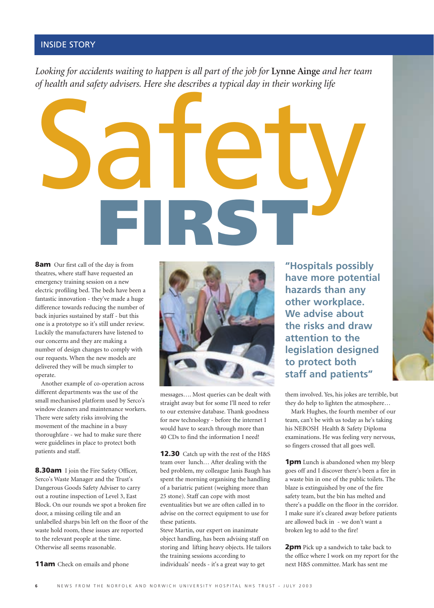#### INSIDE STORY

*Looking for accidents waiting to happen is all part of the job for* **Lynne Ainge** *and her team of health and safety advisers. Here she describes a typical day in their working life*



**8am** Our first call of the day is from theatres, where staff have requested an emergency training session on a new electric profiling bed. The beds have been a fantastic innovation - they've made a huge difference towards reducing the number of back injuries sustained by staff - but this one is a prototype so it's still under review. Luckily the manufacturers have listened to our concerns and they are making a number of design changes to comply with our requests. When the new models are delivered they will be much simpler to operate.

Another example of co-operation across different departments was the use of the small mechanised platform used by Serco's window cleaners and maintenance workers. There were safety risks involving the movement of the machine in a busy thoroughfare - we had to make sure there were guidelines in place to protect both patients and staff.

**8.30am** I join the Fire Safety Officer, Serco's Waste Manager and the Trust's Dangerous Goods Safety Adviser to carry out a routine inspection of Level 3, East Block. On our rounds we spot a broken fire door, a missing ceiling tile and an unlabelled sharps bin left on the floor of the waste hold room, these issues are reported to the relevant people at the time. Otherwise all seems reasonable.

**11am** Check on emails and phone



messages…. Most queries can be dealt with straight away but for some I'll need to refer to our extensive database. Thank goodness for new technology - before the internet I would have to search through more than 40 CDs to find the information I need!

**12.30** Catch up with the rest of the H&S team over lunch… After dealing with the bed problem, my colleague Janis Baugh has spent the morning organising the handling of a bariatric patient (weighing more than 25 stone). Staff can cope with most eventualities but we are often called in to advise on the correct equipment to use for these patients.

Steve Martin, our expert on inanimate object handling, has been advising staff on storing and lifting heavy objects. He tailors the training sessions according to individuals' needs - it's a great way to get

**"Hospitals possibly have more potential hazards than any other workplace. We advise about the risks and draw attention to the legislation designed to protect both staff and patients"**

them involved. Yes, his jokes are terrible, but they do help to lighten the atmosphere…

Mark Hughes, the fourth member of our team, can't be with us today as he's taking his NEBOSH Health & Safety Diploma examinations. He was feeling very nervous, so fingers crossed that all goes well.

**1pm** Lunch is abandoned when my bleep goes off and I discover there's been a fire in a waste bin in one of the public toilets. The blaze is extinguished by one of the fire safety team, but the bin has melted and there's a puddle on the floor in the corridor. I make sure it's cleared away before patients are allowed back in - we don't want a broken leg to add to the fire!

**2pm** Pick up a sandwich to take back to the office where I work on my report for the next H&S committee. Mark has sent me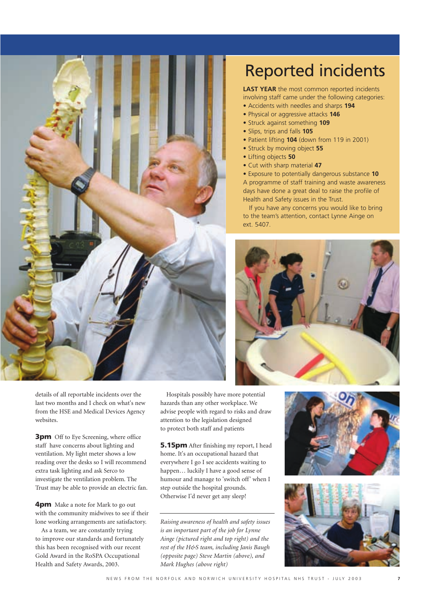

## Reported incidents

**LAST YEAR** the most common reported incidents involving staff came under the following categories:

- Accidents with needles and sharps **194**
- Physical or aggressive attacks **146**
- Struck against something **109**
- Slips, trips and falls **105**
- Patient lifting **104** (down from 119 in 2001)
- Struck by moving object **55**
- Lifting objects **50**
- Cut with sharp material **47**
- Exposure to potentially dangerous substance **10** A programme of staff training and waste awareness days have done a great deal to raise the profile of Health and Safety issues in the Trust.

If you have any concerns you would like to bring to the team's attention, contact Lynne Ainge on ext. 5407.







details of all reportable incidents over the last two months and I check on what's new from the HSE and Medical Devices Agency websites.

**3pm** Off to Eye Screening, where office staff have concerns about lighting and ventilation. My light meter shows a low reading over the desks so I will recommend extra task lighting and ask Serco to investigate the ventilation problem. The Trust may be able to provide an electric fan.

**4pm** Make a note for Mark to go out with the community midwives to see if their lone working arrangements are satisfactory.

As a team, we are constantly trying to improve our standards and fortunately this has been recognised with our recent Gold Award in the RoSPA Occupational Health and Safety Awards, 2003.

Hospitals possibly have more potential hazards than any other workplace. We advise people with regard to risks and draw attention to the legislation designed to protect both staff and patients

**5.15pm** After finishing my report, I head home. It's an occupational hazard that everywhere I go I see accidents waiting to happen… luckily I have a good sense of humour and manage to 'switch off' when I step outside the hospital grounds. Otherwise I'd never get any sleep!

*Raising awareness of health and safety issues is an important part of the job for Lynne Ainge (pictured right and top right) and the rest of the H&S team, including Janis Baugh (opposite page) Steve Martin (above), and Mark Hughes (above right)*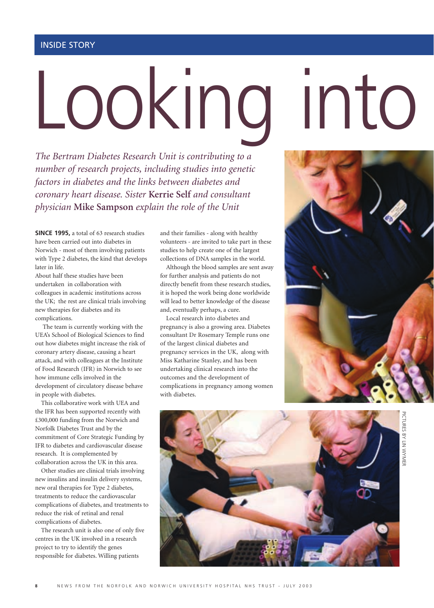# Looking into

*The Bertram Diabetes Research Unit is contributing to a number of research projects, including studies into genetic factors in diabetes and the links between diabetes and coronary heart disease. Sister* **Kerrie Self** *and consultant physician* **Mike Sampson** *explain the role of the Unit* 

**SINCE 1995,** a total of 63 research studies have been carried out into diabetes in Norwich - most of them involving patients with Type 2 diabetes, the kind that develops later in life.

About half these studies have been undertaken in collaboration with colleagues in academic institutions across the UK; the rest are clinical trials involving new therapies for diabetes and its complications.

The team is currently working with the UEA's School of Biological Sciences to find out how diabetes might increase the risk of coronary artery disease, causing a heart attack, and with colleagues at the Institute of Food Research (IFR) in Norwich to see how immune cells involved in the development of circulatory disease behave in people with diabetes.

This collaborative work with UEA and the IFR has been supported recently with £300,000 funding from the Norwich and Norfolk Diabetes Trust and by the commitment of Core Strategic Funding by IFR to diabetes and cardiovascular disease research. It is complemented by collaboration across the UK in this area.

Other studies are clinical trials involving new insulins and insulin delivery systems, new oral therapies for Type 2 diabetes, treatments to reduce the cardiovascular complications of diabetes, and treatments to reduce the risk of retinal and renal complications of diabetes.

The research unit is also one of only five centres in the UK involved in a research project to try to identify the genes responsible for diabetes. Willing patients

and their families - along with healthy volunteers - are invited to take part in these studies to help create one of the largest collections of DNA samples in the world.

Although the blood samples are sent away for further analysis and patients do not directly benefit from these research studies, it is hoped the work being done worldwide will lead to better knowledge of the disease and, eventually perhaps, a cure.

Local research into diabetes and pregnancy is also a growing area. Diabetes consultant Dr Rosemary Temple runs one of the largest clinical diabetes and pregnancy services in the UK, along with Miss Katharine Stanley, and has been undertaking clinical research into the outcomes and the development of complications in pregnancy among women with diabetes.



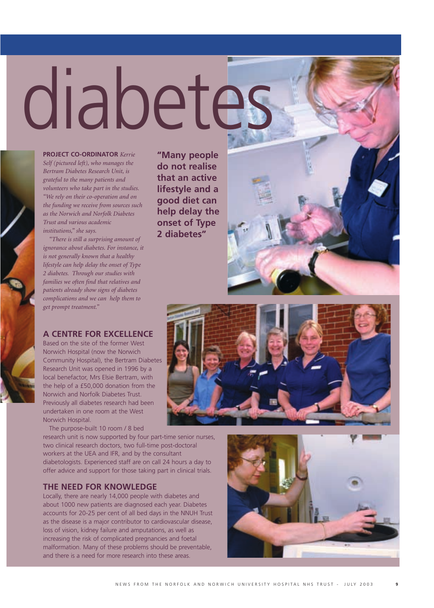# diabetes

**PROJECT CO-ORDINATOR** *Kerrie Self (pictured left), who manages the Bertram Diabetes Research Unit, is grateful to the many patients and volunteers who take part in the studies. "We rely on their co-operation and on the funding we receive from sources such as the Norwich and Norfolk Diabetes Trust and various academic institutions," she says.*

*"There is still a surprising amount of ignorance about diabetes. For instance, it is not generally known that a healthy lifestyle can help delay the onset of Type 2 diabetes. Through our studies with families we often find that relatives and patients already show signs of diabetes complications and we can help them to get prompt treatment."*

#### **A CENTRE FOR EXCELLENCE**

Based on the site of the former West Norwich Hospital (now the Norwich Community Hospital), the Bertram Diabetes Research Unit was opened in 1996 by a local benefactor, Mrs Elsie Bertram, with the help of a £50,000 donation from the Norwich and Norfolk Diabetes Trust. Previously all diabetes research had been undertaken in one room at the West Norwich Hospital.

The purpose-built 10 room / 8 bed

research unit is now supported by four part-time senior nurses, two clinical research doctors, two full-time post-doctoral workers at the UEA and IFR, and by the consultant diabetologists. Experienced staff are on call 24 hours a day to offer advice and support for those taking part in clinical trials.

#### **THE NEED FOR KNOWLEDGE**

Locally, there are nearly 14,000 people with diabetes and about 1000 new patients are diagnosed each year. Diabetes accounts for 20-25 per cent of all bed days in the NNUH Trust as the disease is a major contributor to cardiovascular disease, loss of vision, kidney failure and amputations, as well as increasing the risk of complicated pregnancies and foetal malformation. Many of these problems should be preventable, and there is a need for more research into these areas.

**"Many people do not realise that an active lifestyle and a good diet can help delay the onset of Type 2 diabetes"**



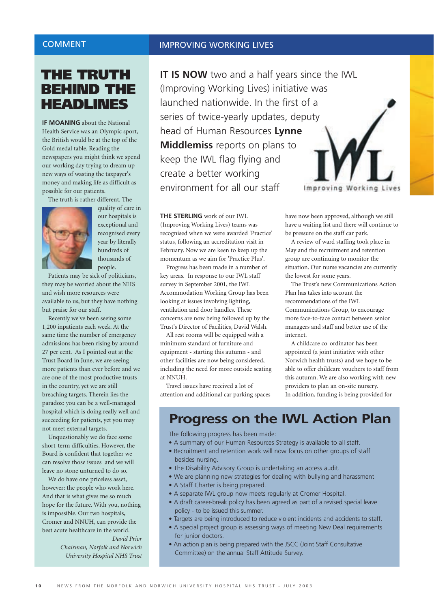#### COMMENT

#### IMPROVING WORKING LIVES

### **THE TRUTH BEHIND THE HEADLINES**

**IF MOANING** about the National Health Service was an Olympic sport, the British would be at the top of the Gold medal table. Reading the newspapers you might think we spend our working day trying to dream up new ways of wasting the taxpayer's money and making life as difficult as possible for our patients.

The truth is rather different. The



quality of care in our hospitals is exceptional and recognised every year by literally hundreds of thousands of people.

Patients may be sick of politicians, they may be worried about the NHS and wish more resources were available to us, but they have nothing but praise for our staff.

Recently we've been seeing some 1,200 inpatients each week. At the same time the number of emergency admissions has been rising by around 27 per cent. As I pointed out at the Trust Board in June, we are seeing more patients than ever before and we are one of the most productive trusts in the country, yet we are still breaching targets. Therein lies the paradox: you can be a well-managed hospital which is doing really well and succeeding for patients, yet you may not meet external targets.

Unquestionably we do face some short-term difficulties. However, the Board is confident that together we can resolve those issues and we will leave no stone unturned to do so.

We do have one priceless asset, however: the people who work here. And that is what gives me so much hope for the future. With you, nothing is impossible. Our two hospitals, Cromer and NNUH, can provide the best acute healthcare in the world.

*David Prior Chairman, Norfolk and Norwich University Hospital NHS Trust* **IT IS NOW** two and a half years since the IWL (Improving Working Lives) initiative was launched nationwide. In the first of a series of twice-yearly updates, deputy head of Human Resources **Lynne Middlemiss** reports on plans to keep the IWL flag flying and create a better working environment for all our staff Improvi

**THE STERLING** work of our IWL (Improving Working Lives) teams was recognised when we were awarded 'Practice' status, following an accreditation visit in February. Now we are keen to keep up the momentum as we aim for 'Practice Plus'.

Progress has been made in a number of key areas. In response to our IWL staff survey in September 2001, the IWL Accommodation Working Group has been looking at issues involving lighting, ventilation and door handles. These concerns are now being followed up by the Trust's Director of Facilities, David Walsh.

All rest rooms will be equipped with a minimum standard of furniture and equipment - starting this autumn - and other facilities are now being considered, including the need for more outside seating at NNUH.

Travel issues have received a lot of attention and additional car parking spaces have now been approved, although we still have a waiting list and there will continue to be pressure on the staff car park.

A review of ward staffing took place in May and the recruitment and retention group are continuing to monitor the situation. Our nurse vacancies are currently the lowest for some years.

The Trust's new Communications Action Plan has takes into account the recommendations of the IWL Communications Group, to encourage more face-to-face contact between senior managers and staff and better use of the internet.

A childcare co-ordinator has been appointed (a joint initiative with other Norwich health trusts) and we hope to be able to offer childcare vouchers to staff from this autumn. We are also working with new providers to plan an on-site nursery. In addition, funding is being provided for

## **Progress on the IWL Action Plan**

The following progress has been made:

- A summary of our Human Resources Strategy is available to all staff.
- Recruitment and retention work will now focus on other groups of staff besides nursing.
- The Disability Advisory Group is undertaking an access audit.
- We are planning new strategies for dealing with bullying and harassment
- A Staff Charter is being prepared.
- A separate IWL group now meets regularly at Cromer Hospital.
- A draft career-break policy has been agreed as part of a revised special leave policy - to be issued this summer.
- Targets are being introduced to reduce violent incidents and accidents to staff.
- A special project group is assessing ways of meeting New Deal requirements for junior doctors.
- An action plan is being prepared with the JSCC (Joint Staff Consultative Committee) on the annual Staff Attitude Survey.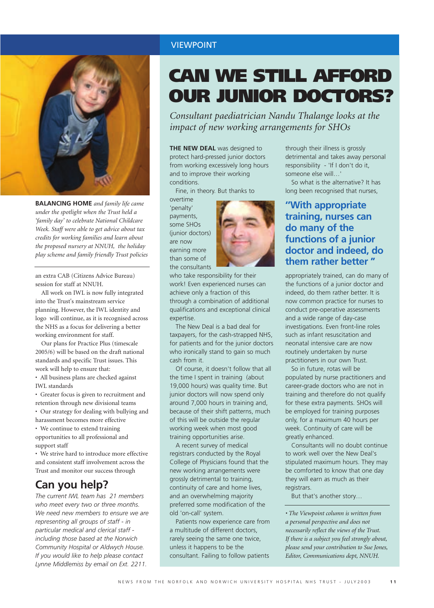

**BALANCING HOME** *and family life came under the spotlight when the Trust held a 'family day' to celebrate National Childcare Week. Staff were able to get advice about tax credits for working families and learn about the proposed nursery at NNUH, the holiday play scheme and family friendly Trust policies*

an extra CAB (Citizens Advice Bureau) session for staff at NNUH.

All work on IWL is now fully integrated into the Trust's mainstream service planning. However, the IWL identity and logo will continue, as it is recognised across the NHS as a focus for delivering a better working environment for staff.

Our plans for Practice Plus (timescale 2005/6) will be based on the draft national standards and specific Trust issues. This work will help to ensure that:

• All business plans are checked against IWL standards

• Greater focus is given to recruitment and retention through new divisional teams

• Our strategy for dealing with bullying and harassment becomes more effective

• We continue to extend training opportunities to all professional and support staff

• We strive hard to introduce more effective and consistent staff involvement across the Trust and monitor our success through

#### **Can you help?**

*The current IWL team has 21 members who meet every two or three months. We need new members to ensure we are representing all groups of staff - in particular medical and clerical staff including those based at the Norwich Community Hospital or Aldwych House. If you would like to help please contact Lynne Middlemiss by email on Ext. 2211.*

## **CAN WE STILL AFFORD OUR JUNIOR DOCTORS?**

*Consultant paediatrician Nandu Thalange looks at the impact of new working arrangements for SHOs*

**THE NEW DEAL** was designed to protect hard-pressed junior doctors from working excessively long hours and to improve their working conditions.

Fine, in theory. But thanks to

overtime 'penalty' payments, some SHOs (junior doctors) are now earning more than some of the consultants



who take responsibility for their work! Even experienced nurses can achieve only a fraction of this through a combination of additional qualifications and exceptional clinical expertise.

The New Deal is a bad deal for taxpayers, for the cash-strapped NHS, for patients and for the junior doctors who ironically stand to gain so much cash from it.

Of course, it doesn't follow that all the time I spent in training (about 19,000 hours) was quality time. But junior doctors will now spend only around 7,000 hours in training and, because of their shift patterns, much of this will be outside the regular working week when most good training opportunities arise.

A recent survey of medical registrars conducted by the Royal College of Physicians found that the new working arrangements were grossly detrimental to training, continuity of care and home lives, and an overwhelming majority preferred some modification of the old 'on-call' system.

Patients now experience care from a multitude of different doctors rarely seeing the same one twice, unless it happens to be the consultant. Failing to follow patients

through their illness is grossly detrimental and takes away personal responsibility - 'If I don't do it, someone else will…'

So what is the alternative? It has long been recognised that nurses,

#### **''With appropriate training, nurses can do many of the functions of a junior doctor and indeed, do them rather better "**

appropriately trained, can do many of the functions of a junior doctor and indeed, do them rather better. It is now common practice for nurses to conduct pre-operative assessments and a wide range of day-case investigations. Even front-line roles such as infant resuscitation and neonatal intensive care are now routinely undertaken by nurse practitioners in our own Trust.

So in future, rotas will be populated by nurse practitioners and career-grade doctors who are not in training and therefore do not qualify for these extra payments. SHOs will be employed for training purposes only, for a maximum 40 hours per week. Continuity of care will be greatly enhanced.

Consultants will no doubt continue to work well over the New Deal's stipulated maximum hours. They may be comforted to know that one day they will earn as much as their registrars.

But that's another story…

*• The Viewpoint column is written from a personal perspective and does not necessarily reflect the views of the Trust. If there is a subject you feel strongly about, please send your contribution to Sue Jones, Editor, Communications dept, NNUH.*